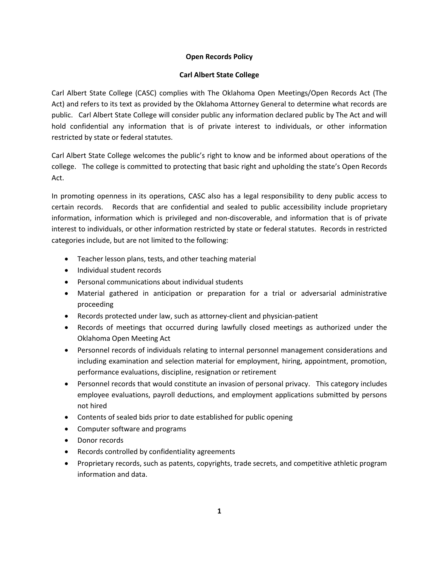## **Open Records Policy**

## **Carl Albert State College**

Carl Albert State College (CASC) complies with The Oklahoma Open Meetings/Open Records Act (The Act) and refers to its text as provided by the Oklahoma Attorney General to determine what records are public. Carl Albert State College will consider public any information declared public by The Act and will hold confidential any information that is of private interest to individuals, or other information restricted by state or federal statutes.

Carl Albert State College welcomes the public's right to know and be informed about operations of the college. The college is committed to protecting that basic right and upholding the state's Open Records Act.

In promoting openness in its operations, CASC also has a legal responsibility to deny public access to certain records. Records that are confidential and sealed to public accessibility include proprietary information, information which is privileged and non-discoverable, and information that is of private interest to individuals, or other information restricted by state or federal statutes. Records in restricted categories include, but are not limited to the following:

- Teacher lesson plans, tests, and other teaching material
- Individual student records
- Personal communications about individual students
- Material gathered in anticipation or preparation for a trial or adversarial administrative proceeding
- Records protected under law, such as attorney-client and physician-patient
- Records of meetings that occurred during lawfully closed meetings as authorized under the Oklahoma Open Meeting Act
- Personnel records of individuals relating to internal personnel management considerations and including examination and selection material for employment, hiring, appointment, promotion, performance evaluations, discipline, resignation or retirement
- Personnel records that would constitute an invasion of personal privacy. This category includes employee evaluations, payroll deductions, and employment applications submitted by persons not hired
- Contents of sealed bids prior to date established for public opening
- Computer software and programs
- Donor records
- Records controlled by confidentiality agreements
- Proprietary records, such as patents, copyrights, trade secrets, and competitive athletic program information and data.